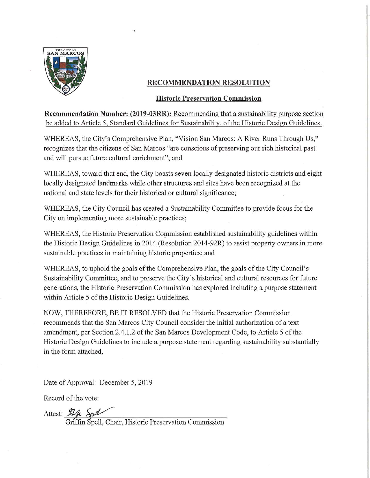

## RECOMMENDATION RESOLUTION

#### **Historic Preservation Commission**

**Recommendation Number: (2019-03RR):** Recommending that a sustainability purpose section be added to Article 5, Standard Guidelines for Sustainability, of the Historic Design Guidelines.

WHEREAS, the City's Comprehensive Plan, "Vision San Marcos: A River Runs Through Us," recognizes that the citizens of San Marcos "are conscious of preserving our rich historical past and will pursue future cultural enrichment"; and

WHEREAS, toward that end, the City boasts seven locally designated historic districts and eight locally designated landmarks while other structures and sites have been recognized at the national and state levels for their historical or cultural significance;

WHEREAS, the City Council has created a Sustainability Committee to provide focus for the City on implementing more sustainable practices;

WHEREAS, the Historic Preservation Commission established sustainability guidelines within the Historic Design Guidelines in 2014 (Resolution 2014-92R) to assist property owners in more sustainable practices in maintaining historic properties; and

WHEREAS, to uphold the goals of the Comprehensive Plan, the goals of the City Council's Sustainability Committee, and to preserve the City's historical and cultural resources for future generations, the Historic Preservation Commission has explored including a purpose statement within Article 5 of the Historic Design Guidelines.

NOW, THEREFORE, BE IT RESOLVED that the Historic Preservation Commission recommends that the San Marcos City Council consider the initial authorization of a text amendment, per Section 2.4.1.2 of the San Marcos Development Code, to Article 5 of the Historic Design Guidelines to include a purpose statement regarding sustainability substantially in the form attached.

Date of Approval: December 5, 2019

Record of the vote:

Attest: 22 Soll<br>Griffin Spell, Chair, Historic Preservation Commission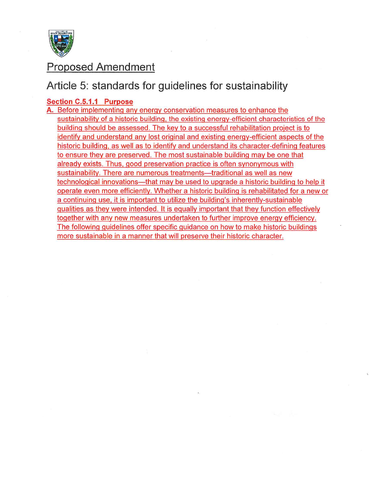

# **Proposed Amendment**

# Article 5: standards for guidelines for sustainability

## Section C.5.1.1 Purpose

A. Before implementing any energy conservation measures to enhance the sustainability of a historic building, the existing energy-efficient characteristics of the building should be assessed. The key to a successful rehabilitation project is to identify and understand any lost original and existing energy-efficient aspects of the historic building, as well as to identify and understand its character-defining features to ensure they are preserved. The most sustainable building may be one that already exists. Thus, good preservation practice is often synonymous with sustainability. There are numerous treatments—traditional as well as new technological innovations—that may be used to upgrade a historic building to help it operate even more efficiently. Whether a historic building is rehabilitated for a new or a continuing use, it is important to utilize the building's inherently-sustainable qualities as they were intended. It is equally important that they function effectively together with any new measures undertaken to further improve energy efficiency. The following guidelines offer specific guidance on how to make historic buildings more sustainable in a manner that will preserve their historic character.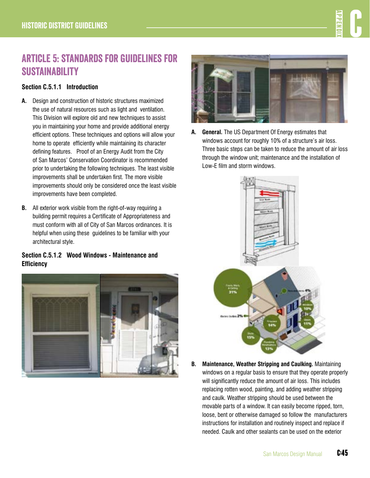# Article 5: standards for guidelines for **SUSTAINABILITY**

# **Section C.5.1.1 Introduction**

- **A.** Design and construction of historic structures maximized the use of natural resources such as light and ventilation. This Division will explore old and new techniques to assist you in maintaining your home and provide additional energy efficient options. These techniques and options will allow your home to operate efficiently while maintaining its character defining features. Proof of an Energy Audit from the City of San Marcos' Conservation Coordinator is recommended prior to undertaking the following techniques. The least visible improvements shall be undertaken first. The more visible improvements should only be considered once the least visible improvements have been completed.
- **B.** All exterior work visible from the right-of-way requiring a building permit requires a Certificate of Appropriateness and must conform with all of City of San Marcos ordinances. It is helpful when using these guidelines to be familiar with your architectural style.

# **Section C.5.1.2 Wood Windows - Maintenance and Efficiency**





**A. General.** The US Department Of Energy estimates that windows account for roughly 10% of a structure's air loss. Three basic steps can be taken to reduce the amount of air loss through the window unit; maintenance and the installation of Low-E film and storm windows.



**B. Maintenance, Weather Stripping and Caulking.** Maintaining windows on a regular basis to ensure that they operate properly will significantly reduce the amount of air loss. This includes replacing rotten wood, painting, and adding weather stripping and caulk. Weather stripping should be used between the movable parts of a window. It can easily become ripped, torn, loose, bent or otherwise damaged so follow the manufacturers instructions for installation and routinely inspect and replace if needed. Caulk and other sealants can be used on the exterior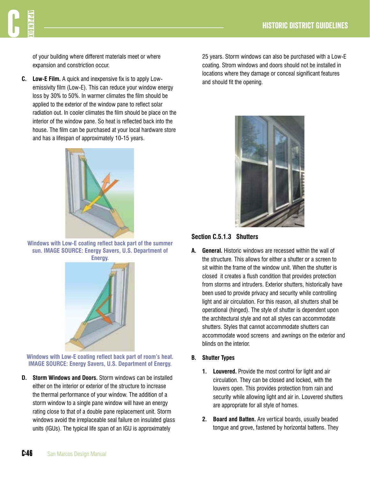

of your building where different materials meet or where expansion and constriction occur.

**C. Low-E Film.** A quick and inexpensive fix is to apply Lowemissivity film (Low-E). This can reduce your window energy loss by 30% to 50%. In warmer climates the film should be applied to the exterior of the window pane to reflect solar radiation out. In cooler climates the film should be place on the interior of the window pane. So heat is reflected back into the house. The film can be purchased at your local hardware store and has a lifespan of approximately 10-15 years.



**Windows with Low-E coating reflect back part of the summer sun. IMAGE SOURCE: Energy Savers, U.S. Department of Energy.**



**Windows with Low-E coating reflect back part of room's heat. IMAGE SOURCE: Energy Savers, U.S. Department of Energy.** 

**D. Storm Windows and Doors.** Storm windows can be installed either on the interior or exterior of the structure to increase the thermal performance of your window. The addition of a storm window to a single pane window will have an energy rating close to that of a double pane replacement unit. Storm windows avoid the irreplaceable seal failure on insulated glass units (IGUs). The typical life span of an IGU is approximately

25 years. Storm windows can also be purchased with a Low-E coating. Strom windows and doors should not be installed in locations where they damage or conceal significant features and should fit the opening.



#### **Section C.5.1.3 Shutters**

**A. General.** Historic windows are recessed within the wall of the structure. This allows for either a shutter or a screen to sit within the frame of the window unit. When the shutter is closed it creates a flush condition that provides protection from storms and intruders. Exterior shutters, historically have been used to provide privacy and security while controlling light and air circulation. For this reason, all shutters shall be operational (hinged). The style of shutter is dependent upon the architectural style and not all styles can accommodate shutters. Styles that cannot accommodate shutters can accommodate wood screens and awnings on the exterior and blinds on the interior.

#### **B. Shutter Types**

- **1. Louvered.** Provide the most control for light and air circulation. They can be closed and locked, with the louvers open. This provides protection from rain and security while allowing light and air in. Louvered shutters are appropriate for all style of homes.
- **2. Board and Batten.** Are vertical boards, usually beaded tongue and grove, fastened by horizontal battens. They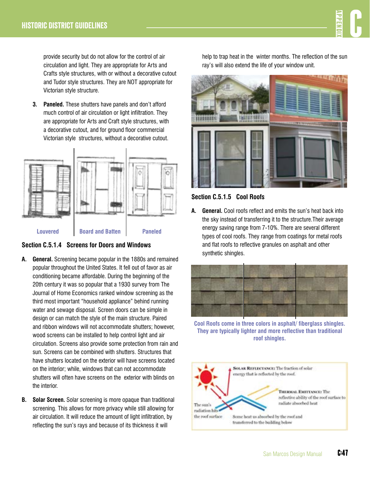provide security but do not allow for the control of air circulation and light. They are appropriate for Arts and Crafts style structures, with or without a decorative cutout and Tudor style structures. They are NOT appropriate for Victorian style structure.

**3. Paneled.** These shutters have panels and don't afford much control of air circulation or light infiltration. They are appropriate for Arts and Craft style structures, with a decorative cutout, and for ground floor commercial Victorian style structures, without a decorative cutout.



**Section C.5.1.4 Screens for Doors and Windows**

- **A. General.** Screening became popular in the 1880s and remained popular throughout the United States. It fell out of favor as air conditioning became affordable. During the beginning of the 20th century it was so popular that a 1930 survey from The Journal of Home Economics ranked window screening as the third most important "household appliance" behind running water and sewage disposal. Screen doors can be simple in design or can match the style of the main structure. Paired and ribbon windows will not accommodate shutters; however, wood screens can be installed to help control light and air circulation. Screens also provide some protection from rain and sun. Screens can be combined with shutters. Structures that have shutters located on the exterior will have screens located on the interior; while, windows that can not accommodate shutters will often have screens on the exterior with blinds on the interior.
- **B. Solar Screen.** Solar screening is more opaque than traditional screening. This allows for more privacy while still allowing for air circulation. It will reduce the amount of light infiltration, by reflecting the sun's rays and because of its thickness it will

help to trap heat in the winter months. The reflection of the sun ray's will also extend the life of your window unit.



**Section C.5.1.5 Cool Roofs**

**A. General.** Cool roofs reflect and emits the sun's heat back into the sky instead of transferring it to the structure.Their average energy saving range from 7-10%. There are several different types of cool roofs. They range from coatings for metal roofs and flat roofs to reflective granules on asphalt and other synthetic shingles.



**Cool Roofs come in three colors in asphalt/ fiberglass shingles. They are typically lighter and more reflective than traditional roof shingles.** 

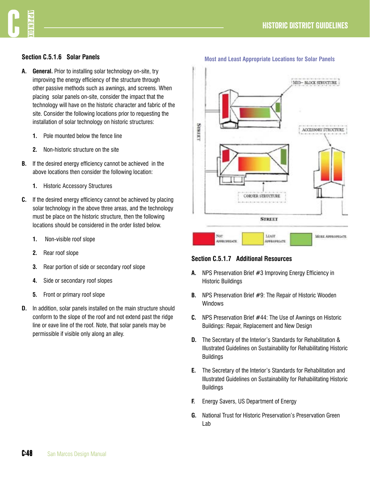# **H**  $\frac{1}{2}$  **C**  $\frac{1}{2}$  **C**  $\frac{1}{2}$  **C**  $\frac{1}{2}$  **C**  $\frac{1}{2}$  **C**  $\frac{1}{2}$  **C**  $\frac{1}{2}$  **C**  $\frac{1}{2}$  **C**  $\frac{1}{2}$  **C**  $\frac{1}{2}$  **C**  $\frac{1}{2}$  **C**  $\frac{1}{2}$  **C**  $\frac{1}{2}$  **C**  $\frac{1}{2}$  **C**  $\frac{1}{2}$  **C**  $\frac{1}{2}$

## **Section C.5.1.6 Solar Panels**

- **A. General.** Prior to installing solar technology on-site, try improving the energy efficiency of the structure through other passive methods such as awnings, and screens. When placing solar panels on-site, consider the impact that the technology will have on the historic character and fabric of the site. Consider the following locations prior to requesting the installation of solar technology on historic structures:
	- **1.** Pole mounted below the fence line
	- **2.** Non-historic structure on the site
- **B.** If the desired energy efficiency cannot be achieved in the above locations then consider the following location:
	- **1.** Historic Accessory Structures
- **C.** If the desired energy efficiency cannot be achieved by placing solar technology in the above three areas, and the technology must be place on the historic structure, then the following locations should be considered in the order listed below.
	- **1.** Non-visible roof slope
	- **2.** Rear roof slope
	- **3.** Rear portion of side or secondary roof slope
	- **4.** Side or secondary roof slopes
	- **5.** Front or primary roof slope
- **D.** In addition, solar panels installed on the main structure should conform to the slope of the roof and not extend past the ridge line or eave line of the roof. Note, that solar panels may be permissible if visible only along an alley.



#### **Section C.5.1.7 Additional Resources**

- **A.** NPS Preservation Brief #3 Improving Energy Efficiency in Historic Buildings
- **B.** NPS Preservation Brief #9: The Repair of Historic Wooden Windows
- **C.** NPS Preservation Brief #44: The Use of Awnings on Historic Buildings: Repair, Replacement and New Design
- **D.** The Secretary of the Interior's Standards for Rehabilitation & Illustrated Guidelines on Sustainability for Rehabilitating Historic Buildings
- **E.** The Secretary of the Interior's Standards for Rehabilitation and Illustrated Guidelines on Sustainability for Rehabilitating Historic **Buildings**
- **F.** Energy Savers, US Department of Energy
- **G.** National Trust for Historic Preservation's Preservation Green Lab

**Most and Least Appropriate Locations for Solar Panels**